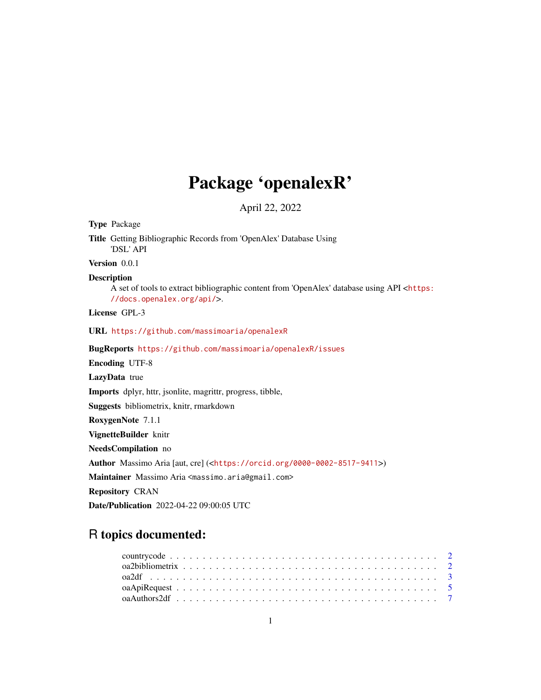## Package 'openalexR'

April 22, 2022

Type Package Title Getting Bibliographic Records from 'OpenAlex' Database Using 'DSL' API Version 0.0.1 Description A set of tools to extract bibliographic content from 'OpenAlex' database using API <[https:](https://docs.openalex.org/api/) [//docs.openalex.org/api/](https://docs.openalex.org/api/)>. License GPL-3 URL <https://github.com/massimoaria/openalexR> BugReports <https://github.com/massimoaria/openalexR/issues> Encoding UTF-8 LazyData true Imports dplyr, httr, jsonlite, magrittr, progress, tibble, Suggests bibliometrix, knitr, rmarkdown RoxygenNote 7.1.1 VignetteBuilder knitr NeedsCompilation no Author Massimo Aria [aut, cre] (<<https://orcid.org/0000-0002-8517-9411>>) Maintainer Massimo Aria <massimo.aria@gmail.com> Repository CRAN Date/Publication 2022-04-22 09:00:05 UTC

### R topics documented: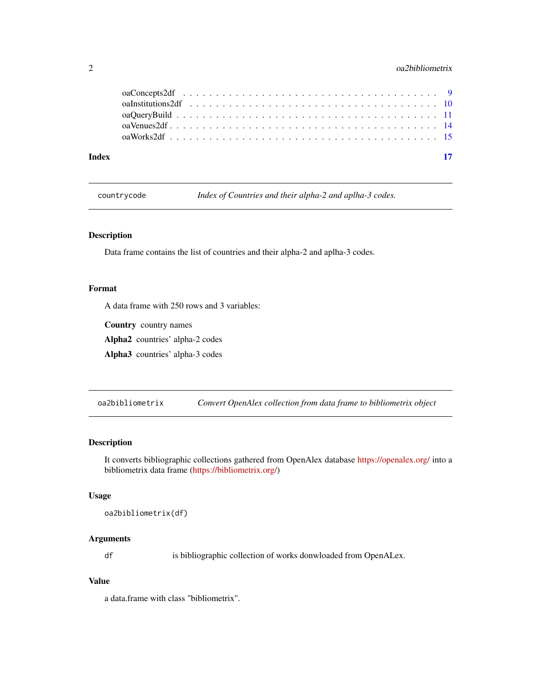#### <span id="page-1-0"></span>2 oa2bibliometrix

| Index |  |
|-------|--|
|       |  |
|       |  |

countrycode *Index of Countries and their alpha-2 and aplha-3 codes.*

#### Description

Data frame contains the list of countries and their alpha-2 and aplha-3 codes.

#### Format

A data frame with 250 rows and 3 variables:

Country country names

Alpha2 countries' alpha-2 codes

Alpha3 countries' alpha-3 codes

oa2bibliometrix *Convert OpenAlex collection from data frame to bibliometrix object*

#### Description

It converts bibliographic collections gathered from OpenAlex database <https://openalex.org/> into a bibliometrix data frame [\(https://bibliometrix.org/\)](https://bibliometrix.org/)

#### Usage

```
oa2bibliometrix(df)
```
#### Arguments

df is bibliographic collection of works donwloaded from OpenALex.

#### Value

a data.frame with class "bibliometrix".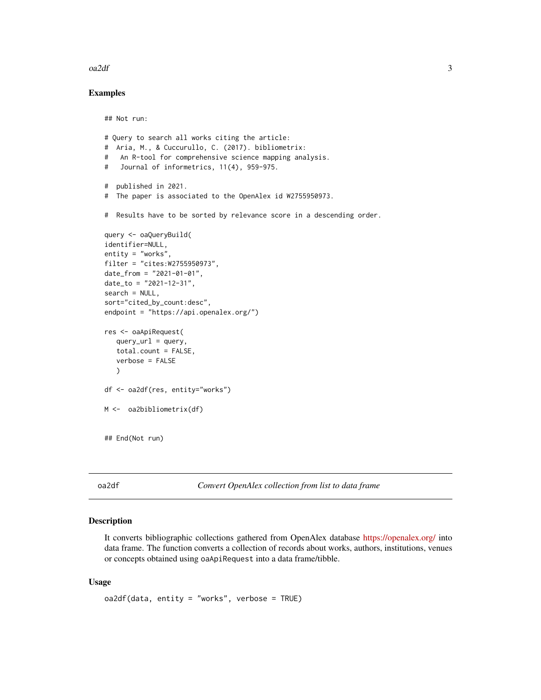#### <span id="page-2-0"></span> $\alpha$ 2df  $\beta$

#### Examples

## Not run:

```
# Query to search all works citing the article:
# Aria, M., & Cuccurullo, C. (2017). bibliometrix:
# An R-tool for comprehensive science mapping analysis.
# Journal of informetrics, 11(4), 959-975.
# published in 2021.
# The paper is associated to the OpenAlex id W2755950973.
# Results have to be sorted by relevance score in a descending order.
query <- oaQueryBuild(
identifier=NULL,
entity = "works",
filter = "cites:W2755950973",
date_from = "2021-01-01",date_to = "2021-12-31",
search = NULL,
sort="cited_by_count:desc",
endpoint = "https://api.openalex.org/")
res <- oaApiRequest(
   query\_url = query,total.count = FALSE,
   verbose = FALSE
   )
df <- oa2df(res, entity="works")
M <- oa2bibliometrix(df)
## End(Not run)
```
oa2df *Convert OpenAlex collection from list to data frame*

#### Description

It converts bibliographic collections gathered from OpenAlex database <https://openalex.org/> into data frame. The function converts a collection of records about works, authors, institutions, venues or concepts obtained using oaApiRequest into a data frame/tibble.

#### Usage

oa2df(data, entity = "works", verbose = TRUE)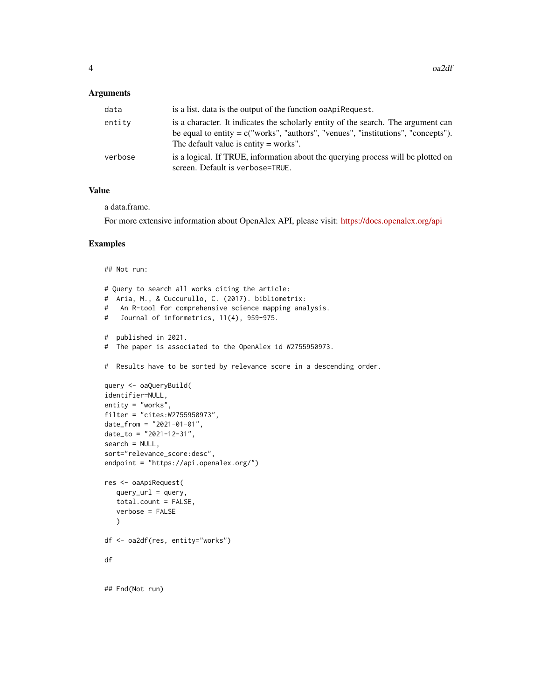#### Arguments

| data    | is a list, data is the output of the function oa Api Request.                                                                                                                                                       |
|---------|---------------------------------------------------------------------------------------------------------------------------------------------------------------------------------------------------------------------|
| entitv  | is a character. It indicates the scholarly entity of the search. The argument can<br>be equal to entity = $c("works", "authors", "vennes", "institutions", "concepts").$<br>The default value is entity $=$ works". |
| verbose | is a logical. If TRUE, information about the querying process will be plotted on<br>screen. Default is verbose=TRUE.                                                                                                |

#### Value

a data.frame.

For more extensive information about OpenAlex API, please visit: <https://docs.openalex.org/api>

#### Examples

```
## Not run:
# Query to search all works citing the article:
# Aria, M., & Cuccurullo, C. (2017). bibliometrix:
# An R-tool for comprehensive science mapping analysis.
# Journal of informetrics, 11(4), 959-975.
# published in 2021.
# The paper is associated to the OpenAlex id W2755950973.
# Results have to be sorted by relevance score in a descending order.
query <- oaQueryBuild(
identifier=NULL,
entity = "works",
filter = "cites:W2755950973",
date_from = "2021-01-01",
date_to = "2021-12-31",
search = NULL,sort="relevance_score:desc",
endpoint = "https://api.openalex.org/")
res <- oaApiRequest(
  query\_url = query,total.count = FALSE,
  verbose = FALSE
   )
df <- oa2df(res, entity="works")
df
## End(Not run)
```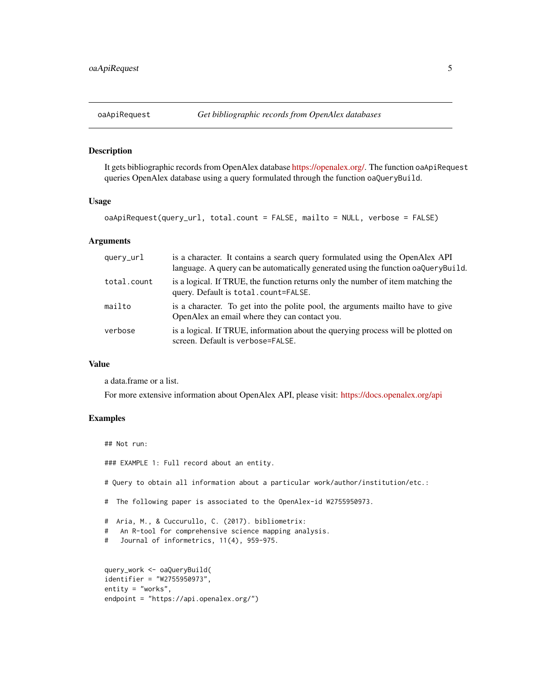<span id="page-4-0"></span>

#### Description

It gets bibliographic records from OpenAlex database [https://openalex.org/.](https://openalex.org/) The function oaApiRequest queries OpenAlex database using a query formulated through the function oaQueryBuild.

#### Usage

oaApiRequest(query\_url, total.count = FALSE, mailto = NULL, verbose = FALSE)

#### Arguments

| query_url   | is a character. It contains a search query formulated using the OpenAlex API<br>language. A query can be automatically generated using the function oaQueryBuild. |
|-------------|-------------------------------------------------------------------------------------------------------------------------------------------------------------------|
| total.count | is a logical. If TRUE, the function returns only the number of item matching the<br>query. Default is total.count=FALSE.                                          |
| mailto      | is a character. To get into the polite pool, the arguments mailto have to give<br>OpenAlex an email where they can contact you.                                   |
| verbose     | is a logical. If TRUE, information about the querying process will be plotted on<br>screen. Default is verbose=FALSE.                                             |

#### Value

a data.frame or a list.

For more extensive information about OpenAlex API, please visit: <https://docs.openalex.org/api>

#### Examples

```
## Not run:
### EXAMPLE 1: Full record about an entity.
# Query to obtain all information about a particular work/author/institution/etc.:
# The following paper is associated to the OpenAlex-id W2755950973.
# Aria, M., & Cuccurullo, C. (2017). bibliometrix:
# An R-tool for comprehensive science mapping analysis.
# Journal of informetrics, 11(4), 959-975.
query_work <- oaQueryBuild(
identifier = "W2755950973",
entity = "works",
endpoint = "https://api.openalex.org/")
```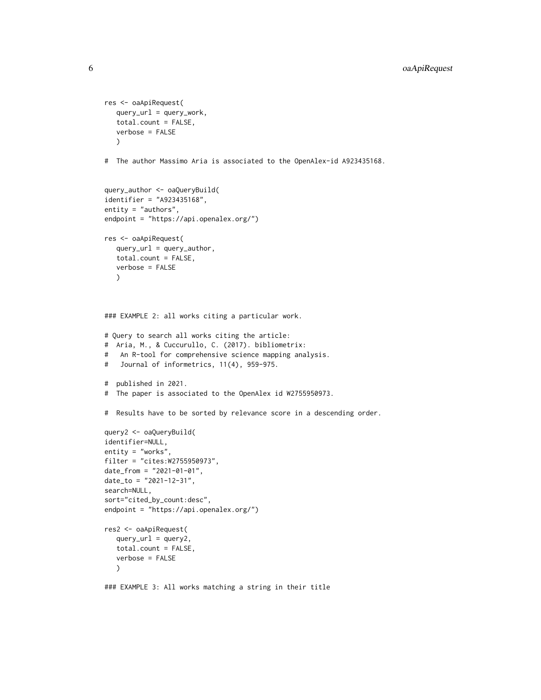```
res <- oaApiRequest(
  query_url = query_work,
   total.count = FALSE,
   verbose = FALSE
   \lambda# The author Massimo Aria is associated to the OpenAlex-id A923435168.
query_author <- oaQueryBuild(
identifier = "A923435168",
entity = "authors",
endpoint = "https://api.openalex.org/")
res <- oaApiRequest(
  query_url = query_author,
   total.count = FALSE,
  verbose = FALSE
   \lambda### EXAMPLE 2: all works citing a particular work.
# Query to search all works citing the article:
# Aria, M., & Cuccurullo, C. (2017). bibliometrix:
# An R-tool for comprehensive science mapping analysis.
# Journal of informetrics, 11(4), 959-975.
# published in 2021.
# The paper is associated to the OpenAlex id W2755950973.
# Results have to be sorted by relevance score in a descending order.
query2 <- oaQueryBuild(
identifier=NULL,
entity = "works",
filter = "cites:W2755950973",
date_from = "2021-01-01",date_to = "2021-12-31",
search=NULL,
sort="cited_by_count:desc",
endpoint = "https://api.openalex.org/")
res2 <- oaApiRequest(
   query\_url = query2,
   total.count = FALSE,
   verbose = FALSE
   \lambda
```
### EXAMPLE 3: All works matching a string in their title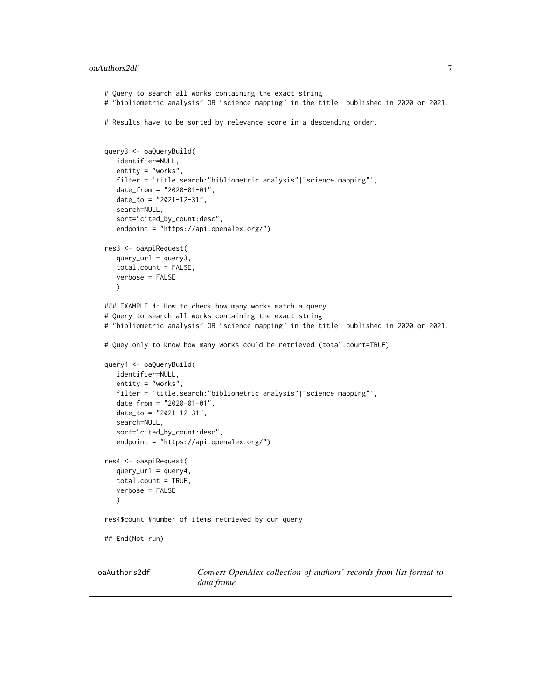#### <span id="page-6-0"></span>oaAuthors2df 7

```
# Query to search all works containing the exact string
# "bibliometric analysis" OR "science mapping" in the title, published in 2020 or 2021.
# Results have to be sorted by relevance score in a descending order.
query3 <- oaQueryBuild(
  identifier=NULL,
  entity = "works",
  filter = 'title.search:"bibliometric analysis"|"science mapping"',
  date_from = "2020-01-01",
  date_to = "2021-12-31",
   search=NULL,
   sort="cited_by_count:desc",
   endpoint = "https://api.openalex.org/")
res3 <- oaApiRequest(
  query\_url = query3,
   total.count = FALSE,
  verbose = FALSE
  )
### EXAMPLE 4: How to check how many works match a query
# Query to search all works containing the exact string
# "bibliometric analysis" OR "science mapping" in the title, published in 2020 or 2021.
# Quey only to know how many works could be retrieved (total.count=TRUE)
query4 <- oaQueryBuild(
  identifier=NULL,
  entity = "works",
  filter = 'title.search:"bibliometric analysis"|"science mapping"',
  date_from = "2020-01-01",
  date_to = "2021-12-31",
  search=NULL,
  sort="cited_by_count:desc",
  endpoint = "https://api.openalex.org/")
res4 <- oaApiRequest(
  query\_url = query4,
   total.count = TRUE,
  verbose = FALSE
  \lambdares4$count #number of items retrieved by our query
## End(Not run)
```
oaAuthors2df *Convert OpenAlex collection of authors' records from list format to data frame*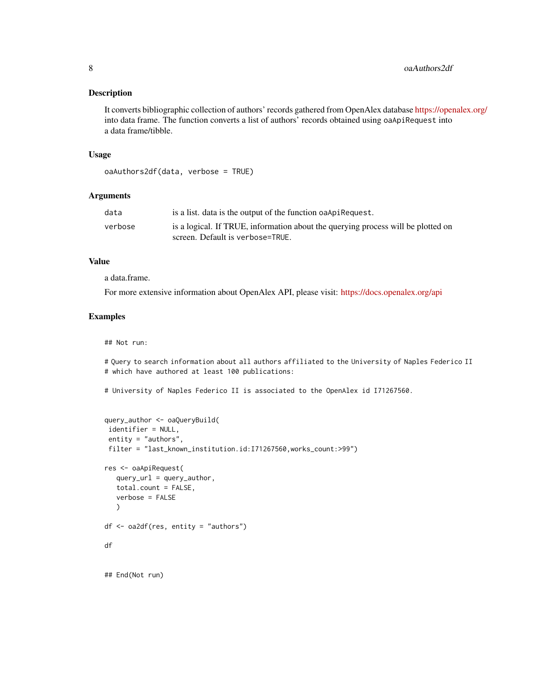#### Description

It converts bibliographic collection of authors' records gathered from OpenAlex database <https://openalex.org/> into data frame. The function converts a list of authors' records obtained using oaApiRequest into a data frame/tibble.

#### Usage

```
oaAuthors2df(data, verbose = TRUE)
```
#### **Arguments**

| data    | is a list. data is the output of the function oa Api Request.                                                        |
|---------|----------------------------------------------------------------------------------------------------------------------|
| verbose | is a logical. If TRUE, information about the querying process will be plotted on<br>screen. Default is verbose=TRUE. |

#### Value

a data.frame.

For more extensive information about OpenAlex API, please visit: <https://docs.openalex.org/api>

#### Examples

## Not run:

# Query to search information about all authors affiliated to the University of Naples Federico II # which have authored at least 100 publications:

# University of Naples Federico II is associated to the OpenAlex id I71267560.

```
query_author <- oaQueryBuild(
 identifier = NULL,
 entity = "authors",
 filter = "last_known_institution.id:I71267560,works_count:>99")
res <- oaApiRequest(
  query\_url = query_author,
   total.count = FALSE,
   verbose = FALSE
  )
df <- oa2df(res, entity = "authors")
df
## End(Not run)
```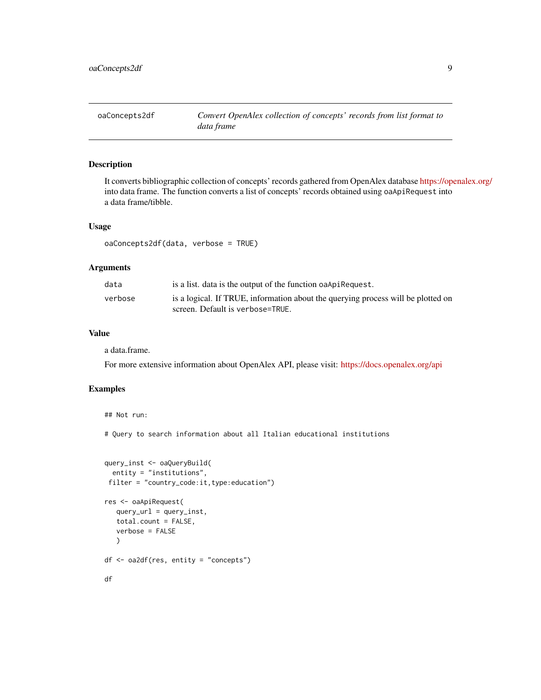<span id="page-8-0"></span>

#### Description

It converts bibliographic collection of concepts' records gathered from OpenAlex database <https://openalex.org/> into data frame. The function converts a list of concepts' records obtained using oaApiRequest into a data frame/tibble.

#### Usage

oaConcepts2df(data, verbose = TRUE)

#### Arguments

| data    | is a list. data is the output of the function oaApiRequest.                                                          |
|---------|----------------------------------------------------------------------------------------------------------------------|
| verbose | is a logical. If TRUE, information about the querying process will be plotted on<br>screen. Default is verbose=TRUE. |

#### Value

a data.frame.

For more extensive information about OpenAlex API, please visit: <https://docs.openalex.org/api>

#### Examples

```
## Not run:
```
# Query to search information about all Italian educational institutions

```
query_inst <- oaQueryBuild(
 entity = "institutions",
filter = "country_code:it,type:education")
res <- oaApiRequest(
  query_url = query_inst,
  total.count = FALSE,
  verbose = FALSE
  )
df <- oa2df(res, entity = "concepts")
df
```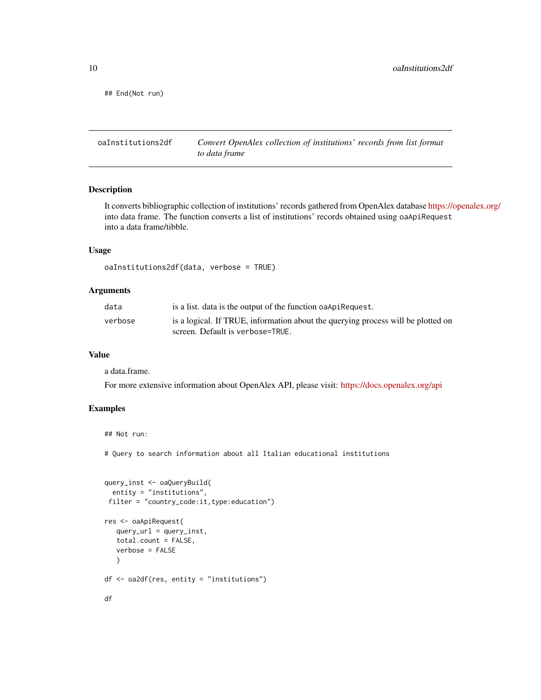<span id="page-9-0"></span>## End(Not run)

oaInstitutions2df *Convert OpenAlex collection of institutions' records from list format to data frame*

#### Description

It converts bibliographic collection of institutions' records gathered from OpenAlex database <https://openalex.org/> into data frame. The function converts a list of institutions' records obtained using oaApiRequest into a data frame/tibble.

#### Usage

```
oaInstitutions2df(data, verbose = TRUE)
```
#### Arguments

| data    | is a list. data is the output of the function oa Api Request.                                                        |
|---------|----------------------------------------------------------------------------------------------------------------------|
| verbose | is a logical. If TRUE, information about the querying process will be plotted on<br>screen. Default is verbose=TRUE. |
|         |                                                                                                                      |

#### Value

a data.frame.

## Not run:

For more extensive information about OpenAlex API, please visit: <https://docs.openalex.org/api>

#### Examples

```
# Query to search information about all Italian educational institutions
```

```
query_inst <- oaQueryBuild(
  entity = "institutions",
 filter = "country_code:it,type:education")
res <- oaApiRequest(
   query_url = query_inst,
   total.count = FALSE,
   verbose = FALSE
   )
df <- oa2df(res, entity = "institutions")
df
```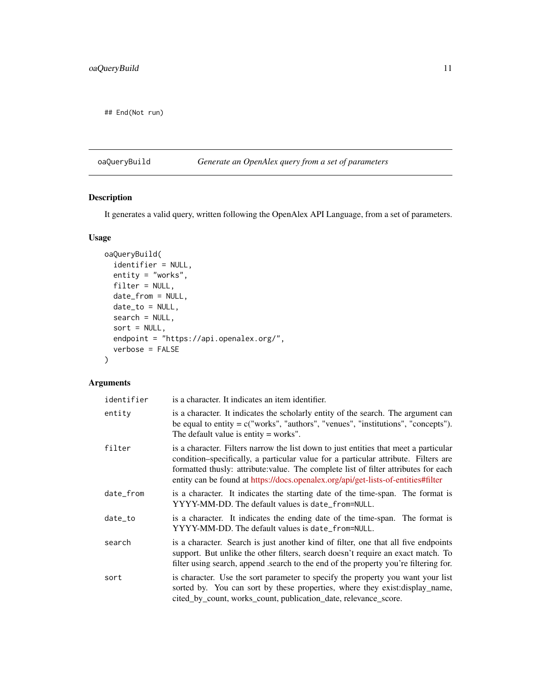<span id="page-10-0"></span>## End(Not run)

#### oaQueryBuild *Generate an OpenAlex query from a set of parameters*

#### Description

It generates a valid query, written following the OpenAlex API Language, from a set of parameters.

#### Usage

```
oaQueryBuild(
  identifier = NULL,
  entity = "works",
 filter = NULL,
 date_from = NULL,
 date_to = NULL,
 search = NULL,
 sort = NULL,endpoint = "https://api.openalex.org/",
  verbose = FALSE
\mathcal{L}
```
#### Arguments

| identifier | is a character. It indicates an item identifier.                                                                                                                                                                                                                                                                                                        |
|------------|---------------------------------------------------------------------------------------------------------------------------------------------------------------------------------------------------------------------------------------------------------------------------------------------------------------------------------------------------------|
| entity     | is a character. It indicates the scholarly entity of the search. The argument can<br>be equal to entity $= c("works", "authors", "venues", "institutions", "concepts").$<br>The default value is entity $=$ works".                                                                                                                                     |
| filter     | is a character. Filters narrow the list down to just entities that meet a particular<br>condition-specifically, a particular value for a particular attribute. Filters are<br>formatted thus ly: attribute: value. The complete list of filter attributes for each<br>entity can be found at https://docs.openalex.org/api/get-lists-of-entities#filter |
| date_from  | is a character. It indicates the starting date of the time-span. The format is<br>YYYY-MM-DD. The default values is date_from=NULL.                                                                                                                                                                                                                     |
| date to    | is a character. It indicates the ending date of the time-span. The format is<br>YYYY-MM-DD. The default values is date_from=NULL.                                                                                                                                                                                                                       |
| search     | is a character. Search is just another kind of filter, one that all five endpoints<br>support. But unlike the other filters, search doesn't require an exact match. To<br>filter using search, append .search to the end of the property you're filtering for.                                                                                          |
| sort       | is character. Use the sort parameter to specify the property you want your list<br>sorted by. You can sort by these properties, where they exist: display_name,<br>cited_by_count, works_count, publication_date, relevance_score.                                                                                                                      |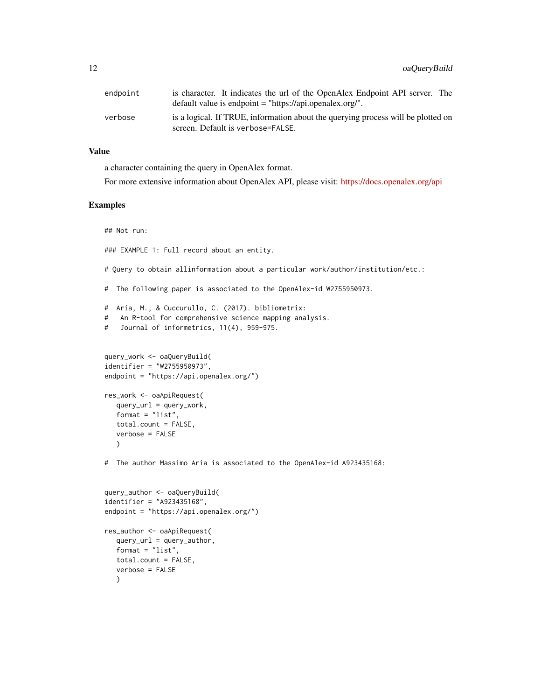| endpoint | is character. It indicates the url of the OpenAlex Endpoint API server. The<br>default value is endpoint = "https://api.openalex.org/". |
|----------|-----------------------------------------------------------------------------------------------------------------------------------------|
| verbose  | is a logical. If TRUE, information about the querying process will be plotted on<br>screen. Default is verbose=FALSE.                   |

#### Value

a character containing the query in OpenAlex format.

For more extensive information about OpenAlex API, please visit: <https://docs.openalex.org/api>

#### Examples

## Not run:

### EXAMPLE 1: Full record about an entity.

# Query to obtain allinformation about a particular work/author/institution/etc.:

# The following paper is associated to the OpenAlex-id W2755950973.

```
# Aria, M., & Cuccurullo, C. (2017). bibliometrix:
# An R-tool for comprehensive science mapping analysis.
```

```
# Journal of informetrics, 11(4), 959-975.
```

```
query_work <- oaQueryBuild(
identifier = "W2755950973",
endpoint = "https://api.openalex.org/")
```

```
res_work <- oaApiRequest(
   query_url = query_work,
   format = "list",
   total.count = FALSE,
   verbose = FALSE
   \lambda
```
# The author Massimo Aria is associated to the OpenAlex-id A923435168:

```
query_author <- oaQueryBuild(
identifier = "A923435168",
endpoint = "https://api.openalex.org/")
res_author <- oaApiRequest(
  query\_url = query_author,
  format = "list",
  total.count = FALSE,
  verbose = FALSE
  \lambda
```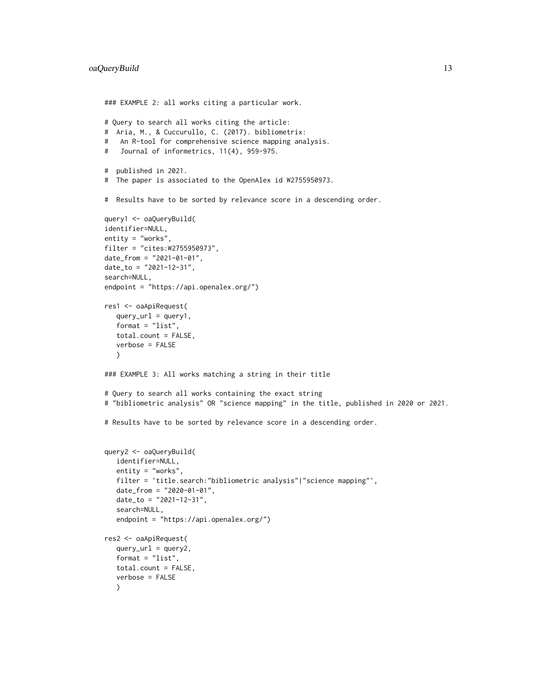```
### EXAMPLE 2: all works citing a particular work.
# Query to search all works citing the article:
# Aria, M., & Cuccurullo, C. (2017). bibliometrix:
# An R-tool for comprehensive science mapping analysis.
# Journal of informetrics, 11(4), 959-975.
# published in 2021.
# The paper is associated to the OpenAlex id W2755950973.
# Results have to be sorted by relevance score in a descending order.
query1 <- oaQueryBuild(
identifier=NULL,
entity = "works",
filter = "cites:W2755950973",
date_from = "2021-01-01",
date_to = "2021-12-31",
search=NULL,
endpoint = "https://api.openalex.org/")
res1 <- oaApiRequest(
   query\_url = query1,
   format = "list",
   total.count = FALSE,
   verbose = FALSE
   \lambda### EXAMPLE 3: All works matching a string in their title
# Query to search all works containing the exact string
# "bibliometric analysis" OR "science mapping" in the title, published in 2020 or 2021.
# Results have to be sorted by relevance score in a descending order.
query2 <- oaQueryBuild(
   identifier=NULL,
   entity = "works",
   filter = 'title.search:"bibliometric analysis"|"science mapping"',
   date_from = "2020-01-01",
   date_to = "2021-12-31",
   search=NULL,
   endpoint = "https://api.openalex.org/")
res2 <- oaApiRequest(
   query\_url = query2,
   format = "list",total.count = FALSE,
   verbose = FALSE
   )
```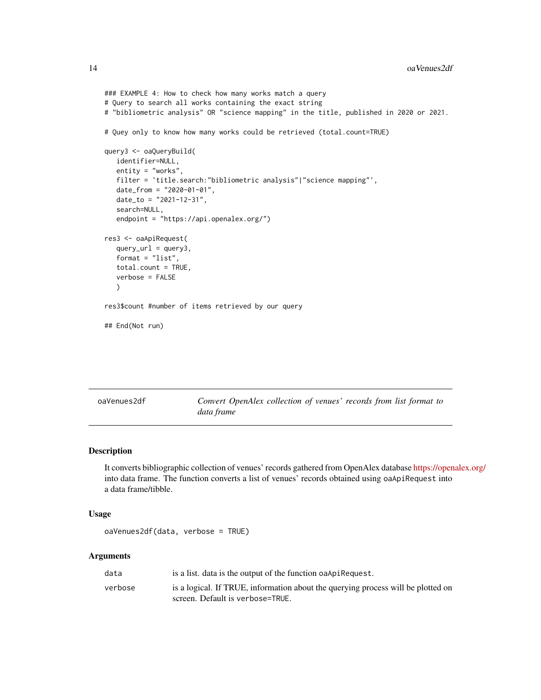```
### EXAMPLE 4: How to check how many works match a query
# Query to search all works containing the exact string
# "bibliometric analysis" OR "science mapping" in the title, published in 2020 or 2021.
# Quey only to know how many works could be retrieved (total.count=TRUE)
query3 <- oaQueryBuild(
  identifier=NULL,
  entity = "works",
  filter = 'title.search:"bibliometric analysis"|"science mapping"',
  date_from = "2020-01-01",
  date_to = "2021-12-31",
  search=NULL,
  endpoint = "https://api.openalex.org/")
res3 <- oaApiRequest(
  query_url = query3,
  format = "list",
  total.count = TRUE,
  verbose = FALSE
  \lambdares3$count #number of items retrieved by our query
## End(Not run)
```
Convert OpenAlex collection of venues' records from list format to *data frame*

#### Description

It converts bibliographic collection of venues' records gathered from OpenAlex database <https://openalex.org/> into data frame. The function converts a list of venues' records obtained using oaApiRequest into a data frame/tibble.

#### Usage

```
oaVenues2df(data, verbose = TRUE)
```
#### Arguments

| data    | is a list. data is the output of the function oa Api Request.                    |
|---------|----------------------------------------------------------------------------------|
| verbose | is a logical. If TRUE, information about the querying process will be plotted on |
|         | screen. Default is verbose=TRUE.                                                 |

<span id="page-13-0"></span>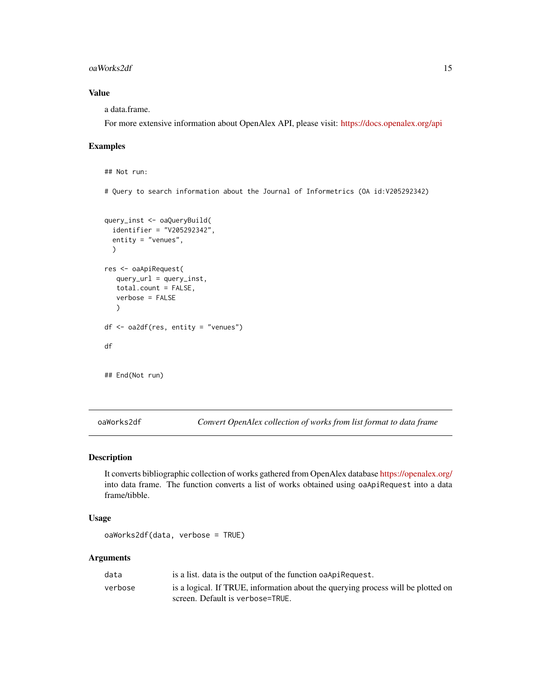#### <span id="page-14-0"></span>oaWorks2df 15

#### Value

a data.frame.

For more extensive information about OpenAlex API, please visit: <https://docs.openalex.org/api>

#### Examples

```
## Not run:
# Query to search information about the Journal of Informetrics (OA id:V205292342)
query_inst <- oaQueryBuild(
  identifier = "V205292342",
  entity = "venues",
  )
res <- oaApiRequest(
   query_url = query_inst,
   total.count = FALSE,
  verbose = FALSE
   )
df <- oa2df(res, entity = "venues")
df
## End(Not run)
```
oaWorks2df *Convert OpenAlex collection of works from list format to data frame*

#### Description

It converts bibliographic collection of works gathered from OpenAlex database <https://openalex.org/> into data frame. The function converts a list of works obtained using oaApiRequest into a data frame/tibble.

#### Usage

```
oaWorks2df(data, verbose = TRUE)
```
#### Arguments

| data    | is a list. data is the output of the function oa Api Request.                    |
|---------|----------------------------------------------------------------------------------|
| verbose | is a logical. If TRUE, information about the querying process will be plotted on |
|         | screen. Default is verbose=TRUE.                                                 |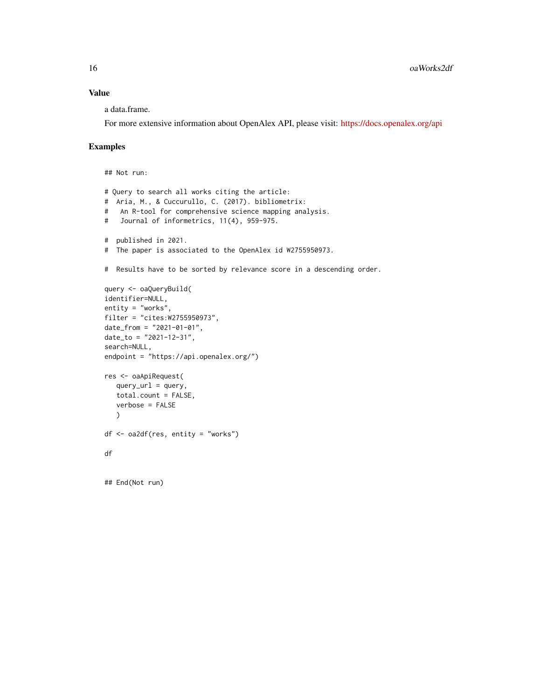#### Value

a data.frame.

For more extensive information about OpenAlex API, please visit: <https://docs.openalex.org/api>

#### Examples

## Not run:

```
# Query to search all works citing the article:
# Aria, M., & Cuccurullo, C. (2017). bibliometrix:
# An R-tool for comprehensive science mapping analysis.
# Journal of informetrics, 11(4), 959-975.
# published in 2021.
# The paper is associated to the OpenAlex id W2755950973.
# Results have to be sorted by relevance score in a descending order.
query <- oaQueryBuild(
identifier=NULL,
entity = "works",
filter = "cites:W2755950973",
date_from = "2021-01-01",
date_to = "2021-12-31",
search=NULL,
endpoint = "https://api.openalex.org/")
res <- oaApiRequest(
  query\_url = query,total.count = FALSE,
  verbose = FALSE
  \lambdadf <- oa2df(res, entity = "works")
df
## End(Not run)
```